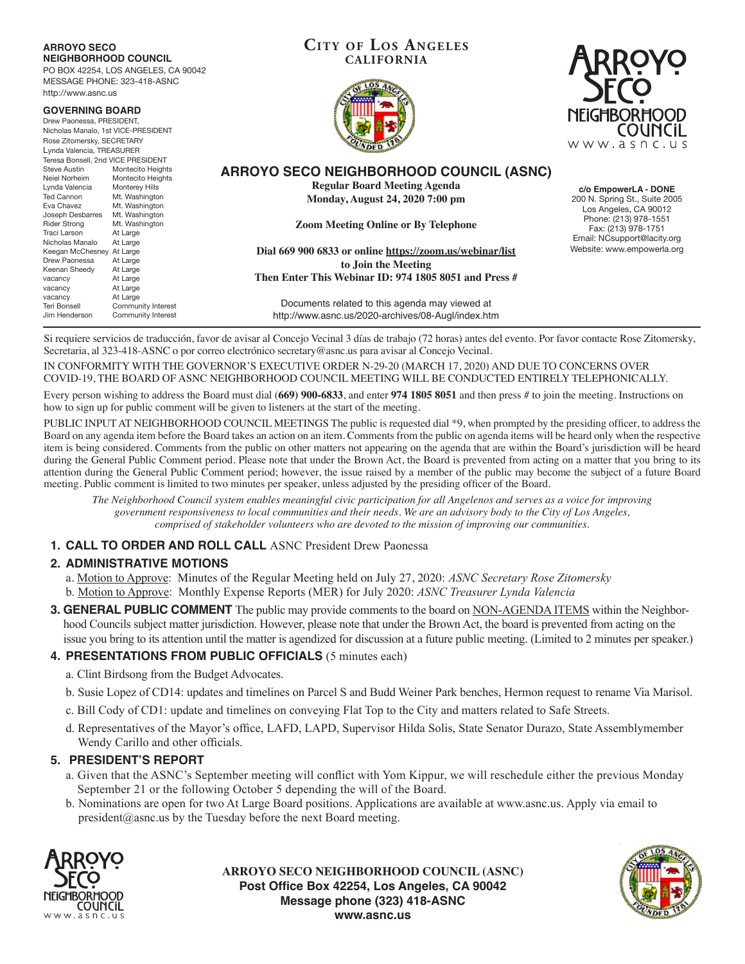| <b>ARROYO SECO</b><br><b>NEIGHBORHOOD COUNCIL</b><br>PO BOX 42254, LOS ANGELES, CA 90042<br>MESSAGE PHONE: 323-418-ASNC<br>http://www.asnc.us                                                                                          | <b>CITY OF LOS ANGELES</b><br><b>CALIFORNIA</b>                                                                          |                                                                                                           |
|----------------------------------------------------------------------------------------------------------------------------------------------------------------------------------------------------------------------------------------|--------------------------------------------------------------------------------------------------------------------------|-----------------------------------------------------------------------------------------------------------|
| <b>GOVERNING BOARD</b><br>Drew Paonessa, PRESIDENT,<br>Nicholas Manalo, 1st VICE-PRESIDENT<br>Rose Zitomersky, SECRETARY<br>Lynda Valencia, TREASURER<br>Teresa Bonsell, 2nd VICE PRESIDENT                                            |                                                                                                                          | <b>NEIGHBORHOOD</b><br><b>COUNCIL</b><br>www.asnc.us                                                      |
| <b>Steve Austin</b><br>Montecito Heights<br>Neiel Norheim<br>Montecito Heights<br><b>Monterey Hills</b><br>Lynda Valencia<br><b>Ted Cannon</b><br>Mt. Washington<br>Eva Chavez<br>Mt. Washington<br>Joseph Desbarres<br>Mt. Washington | ARROYO SECO NEIGHBORHOOD COUNCIL (ASNC)<br><b>Regular Board Meeting Agenda</b><br><b>Monday, August 24, 2020 7:00 pm</b> | c/o EmpowerLA - DONE<br>200 N. Spring St., Suite 2005<br>Los Angeles, CA 90012                            |
| Mt. Washington<br><b>Rider Strong</b><br>Traci Larson<br>At Large<br>Nicholas Manalo<br>At Large<br>Keegan McChesney At Large                                                                                                          | <b>Zoom Meeting Online or By Telephone</b><br>Dial 669 900 6833 or online https://zoom.us/webinar/list                   | Phone: (213) 978-1551<br>Fax: (213) 978-1751<br>Email: NCsupport@lacity.org<br>Website: www.empowerla.org |
| Drew Paonessa<br>At Large<br>Keenan Sheedy<br>At Large<br>At Large<br>vacancy<br>At Large<br>vacancy                                                                                                                                   | to Join the Meeting<br>Then Enter This Webinar ID: 974 1805 8051 and Press #                                             |                                                                                                           |
| At Large<br>vacancy<br><b>Teri Bonsell</b><br>Community Interest<br>Jim Henderson<br>Community Interest                                                                                                                                | Documents related to this agenda may viewed at<br>http://www.asnc.us/2020-archives/08-Augl/index.htm                     |                                                                                                           |

Si requiere servicios de traducción, favor de avisar al Concejo Vecinal 3 días de trabajo (72 horas) antes del evento. Por favor contacte Rose Zitomersky, Secretaria, al 323-418-ASNC o por correo electrónico secretary@asnc.us para avisar al Concejo Vecinal.

IN CONFORMITY WITH THE GOVERNOR'S EXECUTIVE ORDER N-29-20 (MARCH 17, 2020) AND DUE TO CONCERNS OVER COVID-19, THE BOARD OF ASNC NEIGHBORHOOD COUNCIL MEETING WILL BE CONDUCTED ENTIRELY TELEPHONICALLY.

Every person wishing to address the Board must dial (**669) 900-6833**, and enter **974 1805 8051** and then press # to join the meeting. Instructions on how to sign up for public comment will be given to listeners at the start of the meeting.

PUBLIC INPUT AT NEIGHBORHOOD COUNCIL MEETINGS The public is requested dial \*9, when prompted by the presiding officer, to address the Board on any agenda item before the Board takes an action on an item. Comments from the public on agenda items will be heard only when the respective item is being considered. Comments from the public on other matters not appearing on the agenda that are within the Board's jurisdiction will be heard during the General Public Comment period. Please note that under the Brown Act, the Board is prevented from acting on a matter that you bring to its attention during the General Public Comment period; however, the issue raised by a member of the public may become the subject of a future Board meeting. Public comment is limited to two minutes per speaker, unless adjusted by the presiding officer of the Board.

*The Neighborhood Council system enables meaningful civic participation for all Angelenos and serves as a voice for improving government responsiveness to local communities and their needs. We are an advisory body to the City of Los Angeles, comprised of stakeholder volunteers who are devoted to the mission of improving our communities.*

## **1. CALL TO ORDER AND ROLL CALL** ASNC President Drew Paonessa

## **2. ADMINISTRATIVE MOTIONS**

a. Motion to Approve: Minutes of the Regular Meeting held on July 27, 2020: *ASNC Secretary Rose Zitomersky*

- b. Motion to Approve: Monthly Expense Reports (MER) for July 2020: *ASNC Treasurer Lynda Valencia*
- **3. GENERAL PUBLIC COMMENT** The public may provide comments to the board on NON-AGENDA ITEMS within the Neighborhood Councils subject matter jurisdiction. However, please note that under the Brown Act, the board is prevented from acting on the issue you bring to its attention until the matter is agendized for discussion at a future public meeting. (Limited to 2 minutes per speaker.)

## **4. PRESENTATIONS FROM PUBLIC OFFICIALS** (5 minutes each)

- a. Clint Birdsong from the Budget Advocates.
- b. Susie Lopez of CD14: updates and timelines on Parcel S and Budd Weiner Park benches, Hermon request to rename Via Marisol.
- c. Bill Cody of CD1: update and timelines on conveying Flat Top to the City and matters related to Safe Streets.
- d. Representatives of the Mayor's office, LAFD, LAPD, Supervisor Hilda Solis, State Senator Durazo, State Assemblymember Wendy Carillo and other officials.

### **5. PRESIDENT'S REPORT**

- a. Given that the ASNC's September meeting will conflict with Yom Kippur, we will reschedule either the previous Monday September 21 or the following October 5 depending the will of the Board.
- b. Nominations are open for two At Large Board positions. Applications are available at www.asnc.us. Apply via email to president@asnc.us by the Tuesday before the next Board meeting.



**ARROYO SECO NEIGHBORHOOD COUNCIL (ASNC) Post Office Box 42254, Los Angeles, CA 90042 Message phone (323) 418-ASNC www.asnc.us**



**Cit y of Los Angeles**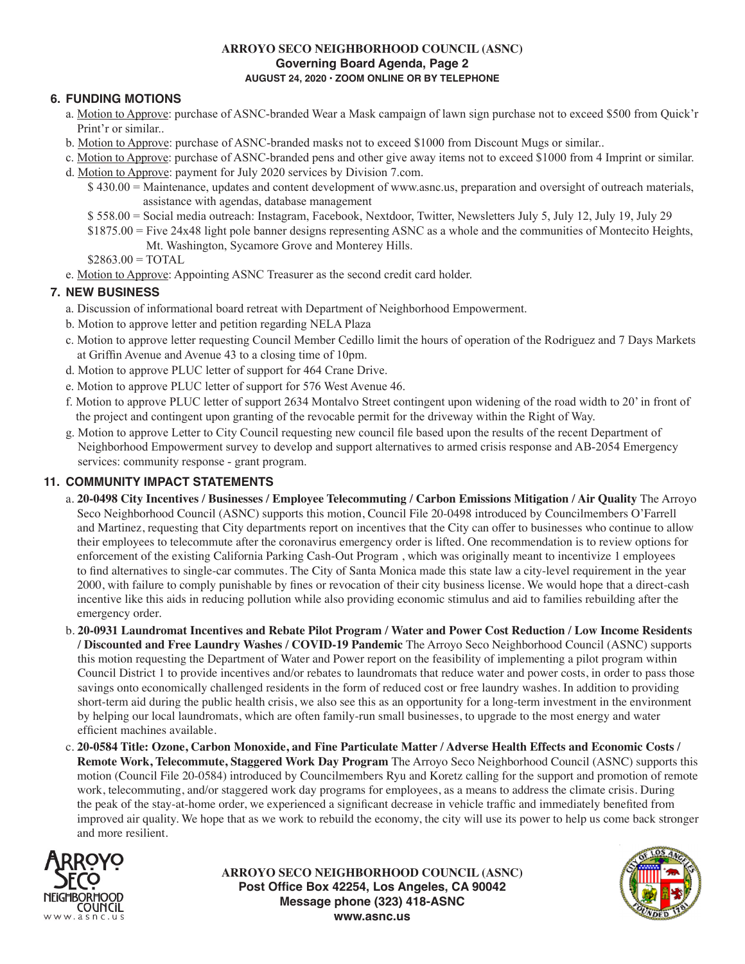### **ARROYO SECO NEIGHBORHOOD COUNCIL (ASNC) Governing Board Agenda, Page 2 AUGUST 24, 2020 • ZOOM ONLINE OR BY TELEPHONE**

# **6. FUNDING MOTIONS**

- a. Motion to Approve: purchase of ASNC-branded Wear a Mask campaign of lawn sign purchase not to exceed \$500 from Quick'r Print'r or similar..
- b. Motion to Approve: purchase of ASNC-branded masks not to exceed \$1000 from Discount Mugs or similar..
- c. Motion to Approve: purchase of ASNC-branded pens and other give away items not to exceed \$1000 from 4 Imprint or similar. d. Motion to Approve: payment for July 2020 services by Division 7.com.
	- \$ 430.00 = Maintenance, updates and content development of www.asnc.us, preparation and oversight of outreach materials, assistance with agendas, database management
		- \$ 558.00 = Social media outreach: Instagram, Facebook, Nextdoor, Twitter, Newsletters July 5, July 12, July 19, July 29
	- \$1875.00 = Five 24x48 light pole banner designs representing ASNC as a whole and the communities of Montecito Heights,
		- Mt. Washington, Sycamore Grove and Monterey Hills.

 $$2863.00 = TOTAL$ 

e. Motion to Approve: Appointing ASNC Treasurer as the second credit card holder.

## **7. NEW BUSINESS**

- a. Discussion of informational board retreat with Department of Neighborhood Empowerment.
- b. Motion to approve letter and petition regarding NELA Plaza
- c. Motion to approve letter requesting Council Member Cedillo limit the hours of operation of the Rodriguez and 7 Days Markets at Griffin Avenue and Avenue 43 to a closing time of 10pm.
- d. Motion to approve PLUC letter of support for 464 Crane Drive.
- e. Motion to approve PLUC letter of support for 576 West Avenue 46.
- f. Motion to approve PLUC letter of support 2634 Montalvo Street contingent upon widening of the road width to 20' in front of the project and contingent upon granting of the revocable permit for the driveway within the Right of Way.
- g. Motion to approve Letter to City Council requesting new council file based upon the results of the recent Department of Neighborhood Empowerment survey to develop and support alternatives to armed crisis response and AB-2054 Emergency services: community response - grant program.

# **11. COMMUNITY IMPACT STATEMENTS**

- a. **20-0498 City Incentives / Businesses / Employee Telecommuting / Carbon Emissions Mitigation / Air Quality** The Arroyo Seco Neighborhood Council (ASNC) supports this motion, Council File 20-0498 introduced by Councilmembers O'Farrell and Martinez, requesting that City departments report on incentives that the City can offer to businesses who continue to allow their employees to telecommute after the coronavirus emergency order is lifted. One recommendation is to review options for enforcement of the existing California Parking Cash-Out Program , which was originally meant to incentivize 1 employees to find alternatives to single-car commutes. The City of Santa Monica made this state law a city-level requirement in the year 2000, with failure to comply punishable by fines or revocation of their city business license. We would hope that a direct-cash incentive like this aids in reducing pollution while also providing economic stimulus and aid to families rebuilding after the emergency order.
- b. **20-0931 Laundromat Incentives and Rebate Pilot Program / Water and Power Cost Reduction / Low Income Residents / Discounted and Free Laundry Washes / COVID-19 Pandemic** The Arroyo Seco Neighborhood Council (ASNC) supports this motion requesting the Department of Water and Power report on the feasibility of implementing a pilot program within Council District 1 to provide incentives and/or rebates to laundromats that reduce water and power costs, in order to pass those savings onto economically challenged residents in the form of reduced cost or free laundry washes. In addition to providing short-term aid during the public health crisis, we also see this as an opportunity for a long-term investment in the environment by helping our local laundromats, which are often family-run small businesses, to upgrade to the most energy and water efficient machines available.
- c. **20-0584 Title: Ozone, Carbon Monoxide, and Fine Particulate Matter / Adverse Health Effects and Economic Costs / Remote Work, Telecommute, Staggered Work Day Program** The Arroyo Seco Neighborhood Council (ASNC) supports this motion (Council File 20-0584) introduced by Councilmembers Ryu and Koretz calling for the support and promotion of remote work, telecommuting, and/or staggered work day programs for employees, as a means to address the climate crisis. During the peak of the stay-at-home order, we experienced a significant decrease in vehicle traffic and immediately benefited from improved air quality. We hope that as we work to rebuild the economy, the city will use its power to help us come back stronger and more resilient.



**ARROYO SECO NEIGHBORHOOD COUNCIL (ASNC) Post Office Box 42254, Los Angeles, CA 90042 Message phone (323) 418-ASNC www.asnc.us**